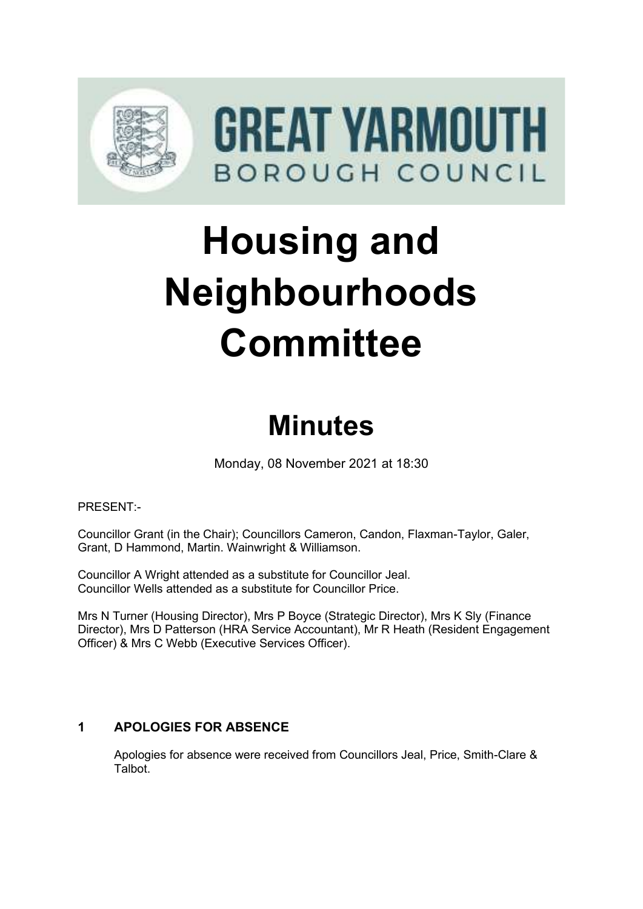

# **Housing and Neighbourhoods Committee**

# **Minutes**

Monday, 08 November 2021 at 18:30

PRESENT:-

Councillor Grant (in the Chair); Councillors Cameron, Candon, Flaxman-Taylor, Galer, Grant, D Hammond, Martin. Wainwright & Williamson.

Councillor A Wright attended as a substitute for Councillor Jeal. Councillor Wells attended as a substitute for Councillor Price.

Mrs N Turner (Housing Director), Mrs P Boyce (Strategic Director), Mrs K Sly (Finance Director), Mrs D Patterson (HRA Service Accountant), Mr R Heath (Resident Engagement Officer) & Mrs C Webb (Executive Services Officer).

# **1** APOLOGIES FOR ABSENCE

Apologies for absence were received from Councillors Jeal, Price, Smith-Clare & Talbot.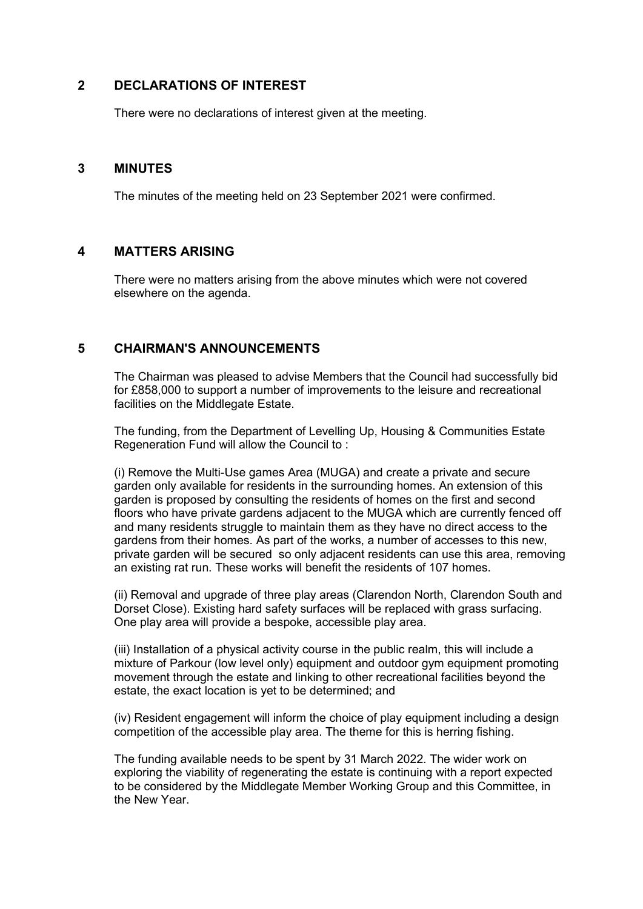# **2 DECLARATIONS OF INTEREST** 2

There were no declarations of interest given at the meeting.

#### **3 MINUTES** 3

The minutes of the meeting held on 23 September 2021 were confirmed.

#### **4 MATTERS ARISING** 4

There were no matters arising from the above minutes which were not covered elsewhere on the agenda.

## **5 CHAIRMAN'S ANNOUNCEMENTS** 5

The Chairman was pleased to advise Members that the Council had successfully bid for £858,000 to support a number of improvements to the leisure and recreational facilities on the Middlegate Estate.

The funding, from the Department of Levelling Up, Housing & Communities Estate Regeneration Fund will allow the Council to :

(i) Remove the Multi-Use games Area (MUGA) and create a private and secure garden only available for residents in the surrounding homes. An extension of this garden is proposed by consulting the residents of homes on the first and second floors who have private gardens adjacent to the MUGA which are currently fenced off and many residents struggle to maintain them as they have no direct access to the gardens from their homes. As part of the works, a number of accesses to this new, private garden will be secured so only adjacent residents can use this area, removing an existing rat run. These works will benefit the residents of 107 homes.

(ii) Removal and upgrade of three play areas (Clarendon North, Clarendon South and Dorset Close). Existing hard safety surfaces will be replaced with grass surfacing. One play area will provide a bespoke, accessible play area.

(iii) Installation of a physical activity course in the public realm, this will include a mixture of Parkour (low level only) equipment and outdoor gym equipment promoting movement through the estate and linking to other recreational facilities beyond the estate, the exact location is yet to be determined; and

(iv) Resident engagement will inform the choice of play equipment including a design competition of the accessible play area. The theme for this is herring fishing.

The funding available needs to be spent by 31 March 2022. The wider work on exploring the viability of regenerating the estate is continuing with a report expected to be considered by the Middlegate Member Working Group and this Committee, in the New Year.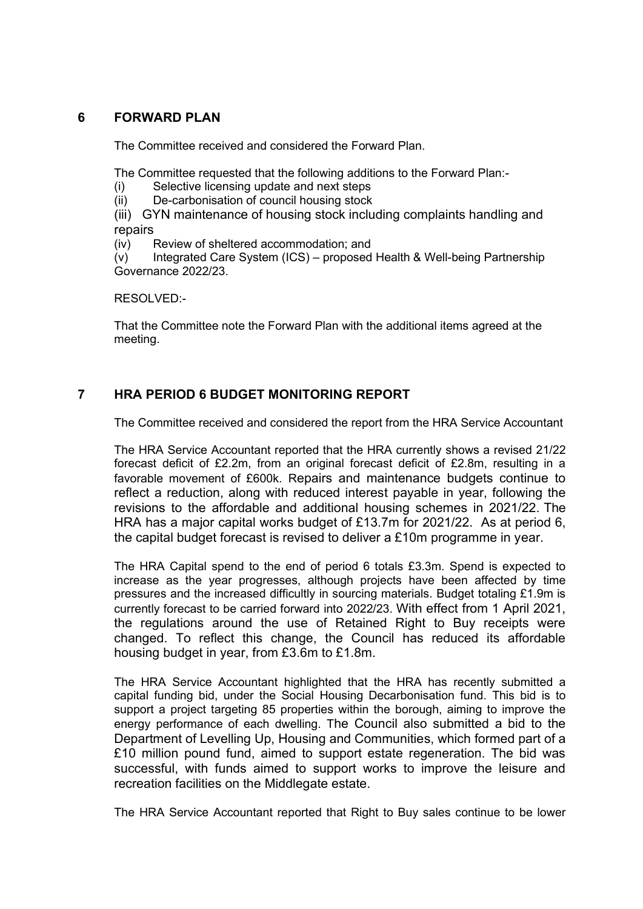# **6 FORWARD PLAN** 6

The Committee received and considered the Forward Plan.

The Committee requested that the following additions to the Forward Plan:-

- (i) Selective licensing update and next steps
- (ii) De-carbonisation of council housing stock

(iii) GYN maintenance of housing stock including complaints handling and repairs

(iv) Review of sheltered accommodation; and

(v) Integrated Care System (ICS) – proposed Health & Well-being Partnership Governance 2022/23.

RESOLVED:-

That the Committee note the Forward Plan with the additional items agreed at the meeting.

# **7 HRA PERIOD 6 BUDGET MONITORING REPORT** 7

The Committee received and considered the report from the HRA Service Accountant

The HRA Service Accountant reported that the HRA currently shows a revised 21/22 forecast deficit of £2.2m, from an original forecast deficit of £2.8m, resulting in a favorable movement of £600k. Repairs and maintenance budgets continue to reflect a reduction, along with reduced interest payable in year, following the revisions to the affordable and additional housing schemes in 2021/22. The HRA has a major capital works budget of £13.7m for 2021/22. As at period 6, the capital budget forecast is revised to deliver a £10m programme in year.

The HRA Capital spend to the end of period 6 totals £3.3m. Spend is expected to increase as the year progresses, although projects have been affected by time pressures and the increased difficultly in sourcing materials. Budget totaling £1.9m is currently forecast to be carried forward into 2022/23. With effect from 1 April 2021, the regulations around the use of Retained Right to Buy receipts were changed. To reflect this change, the Council has reduced its affordable housing budget in year, from £3.6m to £1.8m.

The HRA Service Accountant highlighted that the HRA has recently submitted a capital funding bid, under the Social Housing Decarbonisation fund. This bid is to support a project targeting 85 properties within the borough, aiming to improve the energy performance of each dwelling. The Council also submitted a bid to the Department of Levelling Up, Housing and Communities, which formed part of a £10 million pound fund, aimed to support estate regeneration. The bid was successful, with funds aimed to support works to improve the leisure and recreation facilities on the Middlegate estate.

The HRA Service Accountant reported that Right to Buy sales continue to be lower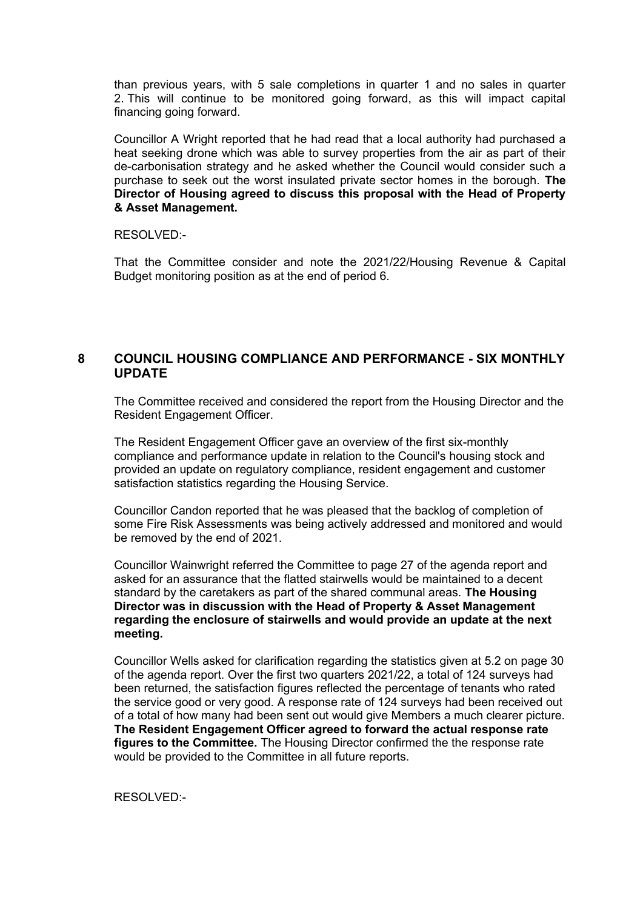than previous years, with 5 sale completions in quarter 1 and no sales in quarter 2. This will continue to be monitored going forward, as this will impact capital financing going forward.

Councillor A Wright reported that he had read that a local authority had purchased a heat seeking drone which was able to survey properties from the air as part of their de-carbonisation strategy and he asked whether the Council would consider such a purchase to seek out the worst insulated private sector homes in the borough. **The Director of Housing agreed to discuss this proposal with the Head of Property & Asset Management.**

RESOLVED:-

That the Committee consider and note the 2021/22/Housing Revenue & Capital Budget monitoring position as at the end of period 6.

# **8 COUNCIL HOUSING COMPLIANCE AND PERFORMANCE - SIX MONTHLY UPDATE**

The Committee received and considered the report from the Housing Director and the Resident Engagement Officer.

The Resident Engagement Officer gave an overview of the first six-monthly compliance and performance update in relation to the Council's housing stock and provided an update on regulatory compliance, resident engagement and customer satisfaction statistics regarding the Housing Service.

Councillor Candon reported that he was pleased that the backlog of completion of some Fire Risk Assessments was being actively addressed and monitored and would be removed by the end of 2021.

Councillor Wainwright referred the Committee to page 27 of the agenda report and asked for an assurance that the flatted stairwells would be maintained to a decent standard by the caretakers as part of the shared communal areas. **The Housing Director was in discussion with the Head of Property & Asset Management regarding the enclosure of stairwells and would provide an update at the next meeting.**

Councillor Wells asked for clarification regarding the statistics given at 5.2 on page 30 of the agenda report. Over the first two quarters 2021/22, a total of 124 surveys had been returned, the satisfaction figures reflected the percentage of tenants who rated the service good or very good. A response rate of 124 surveys had been received out of a total of how many had been sent out would give Members a much clearer picture. **The Resident Engagement Officer agreed to forward the actual response rate figures to the Committee.** The Housing Director confirmed the the response rate would be provided to the Committee in all future reports.

RESOLVED:-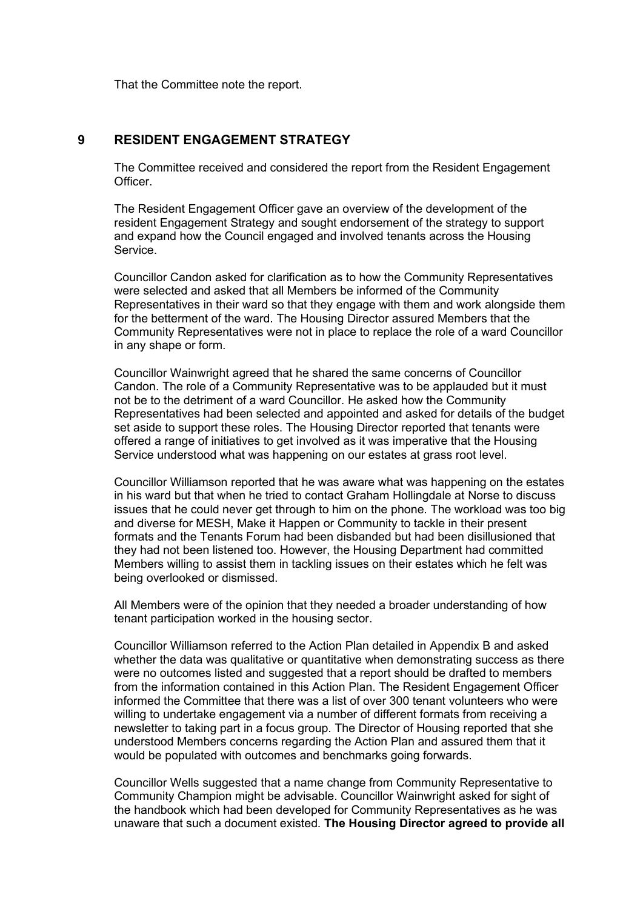That the Committee note the report.

# **9 RESIDENT ENGAGEMENT STRATEGY**

The Committee received and considered the report from the Resident Engagement Officer.

The Resident Engagement Officer gave an overview of the development of the resident Engagement Strategy and sought endorsement of the strategy to support and expand how the Council engaged and involved tenants across the Housing Service.

Councillor Candon asked for clarification as to how the Community Representatives were selected and asked that all Members be informed of the Community Representatives in their ward so that they engage with them and work alongside them for the betterment of the ward. The Housing Director assured Members that the Community Representatives were not in place to replace the role of a ward Councillor in any shape or form.

Councillor Wainwright agreed that he shared the same concerns of Councillor Candon. The role of a Community Representative was to be applauded but it must not be to the detriment of a ward Councillor. He asked how the Community Representatives had been selected and appointed and asked for details of the budget set aside to support these roles. The Housing Director reported that tenants were offered a range of initiatives to get involved as it was imperative that the Housing Service understood what was happening on our estates at grass root level.

Councillor Williamson reported that he was aware what was happening on the estates in his ward but that when he tried to contact Graham Hollingdale at Norse to discuss issues that he could never get through to him on the phone. The workload was too big and diverse for MESH, Make it Happen or Community to tackle in their present formats and the Tenants Forum had been disbanded but had been disillusioned that they had not been listened too. However, the Housing Department had committed Members willing to assist them in tackling issues on their estates which he felt was being overlooked or dismissed.

All Members were of the opinion that they needed a broader understanding of how tenant participation worked in the housing sector.

Councillor Williamson referred to the Action Plan detailed in Appendix B and asked whether the data was qualitative or quantitative when demonstrating success as there were no outcomes listed and suggested that a report should be drafted to members from the information contained in this Action Plan. The Resident Engagement Officer informed the Committee that there was a list of over 300 tenant volunteers who were willing to undertake engagement via a number of different formats from receiving a newsletter to taking part in a focus group. The Director of Housing reported that she understood Members concerns regarding the Action Plan and assured them that it would be populated with outcomes and benchmarks going forwards.

Councillor Wells suggested that a name change from Community Representative to Community Champion might be advisable. Councillor Wainwright asked for sight of the handbook which had been developed for Community Representatives as he was unaware that such a document existed. **The Housing Director agreed to provide all**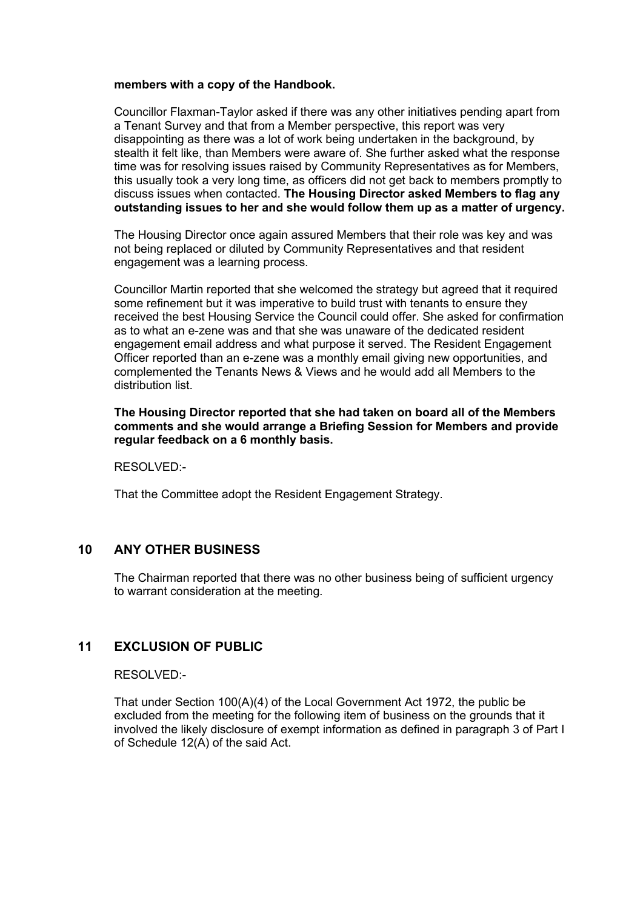#### **members with a copy of the Handbook.**

Councillor Flaxman-Taylor asked if there was any other initiatives pending apart from a Tenant Survey and that from a Member perspective, this report was very disappointing as there was a lot of work being undertaken in the background, by stealth it felt like, than Members were aware of. She further asked what the response time was for resolving issues raised by Community Representatives as for Members, this usually took a very long time, as officers did not get back to members promptly to discuss issues when contacted. **The Housing Director asked Members to flag any outstanding issues to her and she would follow them up as a matter of urgency.**

The Housing Director once again assured Members that their role was key and was not being replaced or diluted by Community Representatives and that resident engagement was a learning process.

Councillor Martin reported that she welcomed the strategy but agreed that it required some refinement but it was imperative to build trust with tenants to ensure they received the best Housing Service the Council could offer. She asked for confirmation as to what an e-zene was and that she was unaware of the dedicated resident engagement email address and what purpose it served. The Resident Engagement Officer reported than an e-zene was a monthly email giving new opportunities, and complemented the Tenants News & Views and he would add all Members to the distribution list.

**The Housing Director reported that she had taken on board all of the Members comments and she would arrange a Briefing Session for Members and provide regular feedback on a 6 monthly basis.**

RESOLVED:-

That the Committee adopt the Resident Engagement Strategy.

# **10 ANY OTHER BUSINESS**

The Chairman reported that there was no other business being of sufficient urgency to warrant consideration at the meeting.

# **11 EXCLUSION OF PUBLIC** 11

RESOLVED:-

That under Section 100(A)(4) of the Local Government Act 1972, the public be excluded from the meeting for the following item of business on the grounds that it involved the likely disclosure of exempt information as defined in paragraph 3 of Part I of Schedule 12(A) of the said Act.